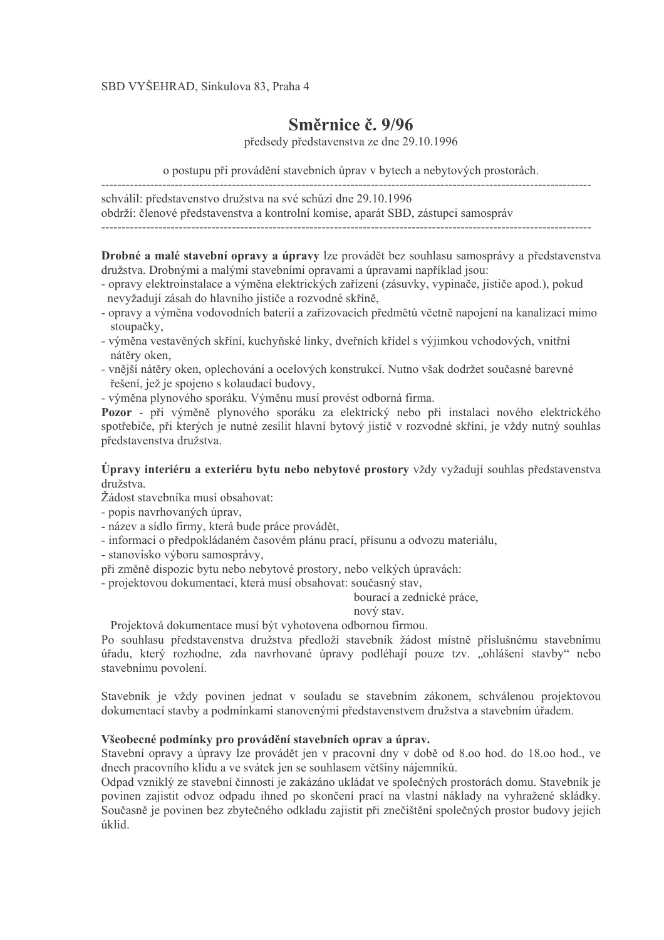## Směrnice č. 9/96

předsedy představenstva ze dne 29.10.1996

o postupu při provádění stavebních úprav v bytech a nebytových prostorách. 

schválil: představenstvo družstva na své schůzi dne 29.10.1996 obdrží: členové představenstva a kontrolní komise, aparát SBD, zástupci samospráv 

Drobné a malé stavební opravy a úpravy lze provádět bez souhlasu samosprávy a představenstva družstva. Drobnými a malými stavebními opravami a úpravami například isou:

- opravy elektroinstalace a výměna elektrických zařízení (zásuvky, vypinače, jističe apod.), pokud nevyžadují zásah do hlavního jističe a rozvodné skříně.
- opravy a výměna vodovodních baterií a zařizovacích předmětů včetně napojení na kanalizaci mimo stoupačky.
- výměna vestavěných skříní, kuchyňské linky, dveřních křídel s výjimkou vchodových, vnitřní nátěry oken,
- vnější nátěry oken, oplechování a ocelových konstrukcí. Nutno však dodržet současné barevné řešení, jež je spojeno s kolaudací budovy,
- výměna plynového sporáku. Výměnu musí provést odborná firma.

Pozor - při výměně plynového sporáku za elektrický nebo při instalaci nového elektrického spotřebiče, při kterých je nutné zesílit hlavní bytový jistič v rozvodné skříni, je vždy nutný souhlas představenstva družstva.

Úpravy interiéru a exteriéru bytu nebo nebytové prostory vždy vyžadují souhlas představenstva družstva

Žádost stavebníka musí obsahovat:

- popis navrhovaných úprav.
- název a sídlo firmy, která bude práce provádět.
- informaci o předpokládaném časovém plánu prací, přísunu a odvozu materiálu,

- stanovisko výboru samosprávy,

při změně dispozic bytu nebo nebytové prostory, nebo velkých úpravách:

- projektovou dokumentaci, která musí obsahovat: současný stav,

bourací a zednické práce.

nový stav.

Projektová dokumentace musí být vyhotovena odbornou firmou.

Po souhlasu představenstva družstva předloží stavebník žádost místně příslušnému stavebnímu úřadu, který rozhodne, zda navrhované úpravy podléhají pouze tzv. "ohlášení stavby" nebo stavebnímu povolení.

Stavebník je vždy povinen jednat v souladu se stavebním zákonem, schválenou projektovou dokumentací stavby a podmínkami stanovenými představenstvem družstva a stavebním úřadem.

## Všeobecné podmínky pro provádění stavebních oprav a úprav.

Stavební opravy a úpravy lze provádět jen v pracovní dny v době od 8.00 hod, do 18.00 hod., ve dnech pracovního klidu a ve svátek jen se souhlasem většiny nájemníků.

Odpad vzniklý ze stavební činnosti je zakázáno ukládat ve společných prostorách domu. Stavebník je povinen zajistit odvoz odpadu ihned po skončení prací na vlastní náklady na vyhražené skládky. Současně je povinen bez zbytečného odkladu zajistit při znečištění společných prostor budovy jejich úklid.